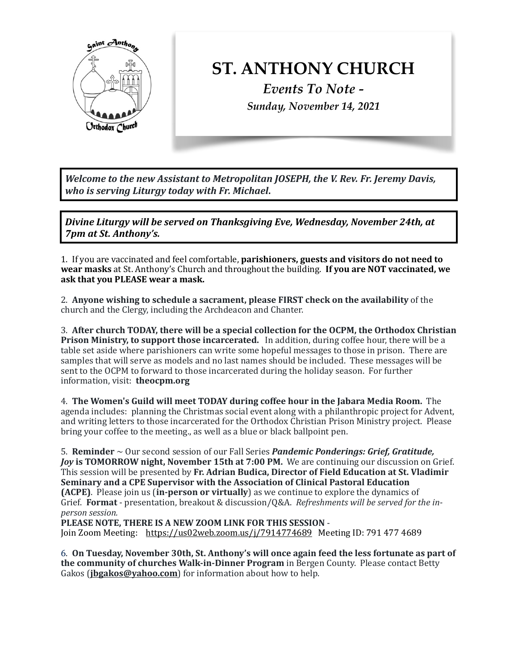

## **ST. ANTHONY CHURCH**

*Events To Note - Sunday, November 14, 2021*

*Welcome to the new Assistant to Metropolitan JOSEPH, the V. Rev. Fr. Jeremy Davis, who is serving Liturgy today with Fr. Michael.* 

*Divine Liturgy will be served on Thanksgiving Eve, Wednesday, November 24th, at 7pm at St. Anthony's.* 

1. If you are vaccinated and feel comfortable, **parishioners, guests and visitors do not need to** wear masks at St. Anthony's Church and throughout the building. If you are NOT vaccinated, we ask that you PLEASE wear a mask.

2. Anyone wishing to schedule a sacrament, please FIRST check on the availability of the church and the Clergy, including the Archdeacon and Chanter.

3. After church TODAY, there will be a special collection for the OCPM, the Orthodox Christian **Prison Ministry, to support those incarcerated.** In addition, during coffee hour, there will be a table set aside where parishioners can write some hopeful messages to those in prison. There are samples that will serve as models and no last names should be included. These messages will be sent to the OCPM to forward to those incarcerated during the holiday season. For further information, visit: **theocpm.org** 

4. **The Women's Guild will meet TODAY during coffee hour in the Jabara Media Room.** The agenda includes: planning the Christmas social event along with a philanthropic project for Advent, and writing letters to those incarcerated for the Orthodox Christian Prison Ministry project. Please bring your coffee to the meeting., as well as a blue or black ballpoint pen.

5. **Reminder**  $\sim$  Our second session of our Fall Series *Pandemic Ponderings: Grief, Gratitude, Joy* is **TOMORROW** night, **November 15th at 7:00 PM.** We are continuing our discussion on Grief. This session will be presented by Fr. Adrian Budica, Director of Field Education at St. Vladimir **Seminary and a CPE Supervisor with the Association of Clinical Pastoral Education (ACPE)**. Please join us **(in-person or virtually)** as we continue to explore the dynamics of Grief. **Format** - presentation, breakout & discussion/Q&A. Refreshments will be served for the in*person session.* 

PLEASE NOTE, THERE IS A NEW ZOOM LINK FOR THIS SESSION Join Zoom Meeting: <https://us02web.zoom.us/j/7914774689> Meeting ID: 791 477 4689

6. On Tuesday, November 30th, St. Anthony's will once again feed the less fortunate as part of **the community of churches Walk-in-Dinner Program** in Bergen County. Please contact Betty Gakos (**[jbgakos@yahoo.com](mailto:jbgakos@yahoo.com)**) for information about how to help.